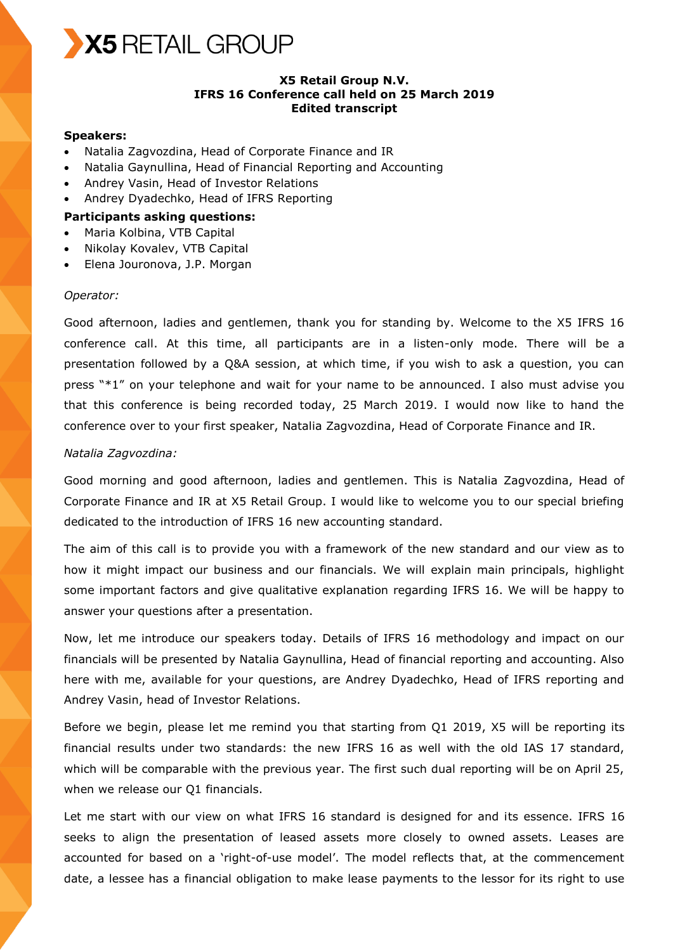

# **X5 Retail Group N.V. IFRS 16 Conference call held on 25 March 2019 Edited transcript**

#### **Speakers:**

- Natalia Zagvozdina, Head of Corporate Finance and IR
- Natalia Gaynullina, Head of Financial Reporting and Accounting
- Andrey Vasin, Head of Investor Relations
- Andrey Dyadechko, Head of IFRS Reporting

#### **Participants asking questions:**

- Maria Kolbina, VTB Capital
- Nikolay Kovalev, VTB Capital
- Elena Jouronova, J.P. Morgan

#### *Operator:*

Good afternoon, ladies and gentlemen, thank you for standing by. Welcome to the X5 IFRS 16 conference call. At this time, all participants are in a listen-only mode. There will be a presentation followed by a Q&A session, at which time, if you wish to ask a question, you can press "\*1" on your telephone and wait for your name to be announced. I also must advise you that this conference is being recorded today, 25 March 2019. I would now like to hand the conference over to your first speaker, Natalia Zagvozdina, Head of Corporate Finance and IR.

### *Natalia Zagvozdina:*

Good morning and good afternoon, ladies and gentlemen. This is Natalia Zagvozdina, Head of Corporate Finance and IR at X5 Retail Group. I would like to welcome you to our special briefing dedicated to the introduction of IFRS 16 new accounting standard.

The aim of this call is to provide you with a framework of the new standard and our view as to how it might impact our business and our financials. We will explain main principals, highlight some important factors and give qualitative explanation regarding IFRS 16. We will be happy to answer your questions after a presentation.

Now, let me introduce our speakers today. Details of IFRS 16 methodology and impact on our financials will be presented by Natalia Gaynullina, Head of financial reporting and accounting. Also here with me, available for your questions, are Andrey Dyadechko, Head of IFRS reporting and Andrey Vasin, head of Investor Relations.

Before we begin, please let me remind you that starting from Q1 2019, X5 will be reporting its financial results under two standards: the new IFRS 16 as well with the old IAS 17 standard, which will be comparable with the previous year. The first such dual reporting will be on April 25, when we release our Q1 financials.

Let me start with our view on what IFRS 16 standard is designed for and its essence. IFRS 16 seeks to align the presentation of leased assets more closely to owned assets. Leases are accounted for based on a 'right-of-use model'. The model reflects that, at the commencement date, a lessee has a financial obligation to make lease payments to the lessor for its right to use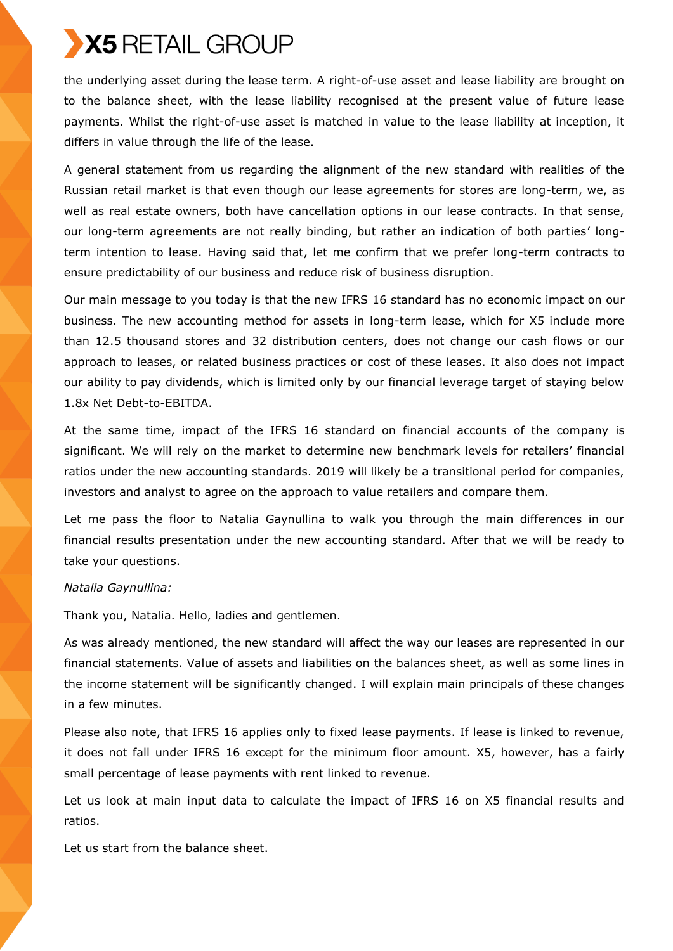the underlying asset during the lease term. A right-of-use asset and lease liability are brought on to the balance sheet, with the lease liability recognised at the present value of future lease payments. Whilst the right-of-use asset is matched in value to the lease liability at inception, it differs in value through the life of the lease.

A general statement from us regarding the alignment of the new standard with realities of the Russian retail market is that even though our lease agreements for stores are long-term, we, as well as real estate owners, both have cancellation options in our lease contracts. In that sense, our long-term agreements are not really binding, but rather an indication of both parties' longterm intention to lease. Having said that, let me confirm that we prefer long-term contracts to ensure predictability of our business and reduce risk of business disruption.

Our main message to you today is that the new IFRS 16 standard has no economic impact on our business. The new accounting method for assets in long-term lease, which for X5 include more than 12.5 thousand stores and 32 distribution centers, does not change our cash flows or our approach to leases, or related business practices or cost of these leases. It also does not impact our ability to pay dividends, which is limited only by our financial leverage target of staying below 1.8x Net Debt-to-EBITDA.

At the same time, impact of the IFRS 16 standard on financial accounts of the company is significant. We will rely on the market to determine new benchmark levels for retailers' financial ratios under the new accounting standards. 2019 will likely be a transitional period for companies, investors and analyst to agree on the approach to value retailers and compare them.

Let me pass the floor to Natalia Gaynullina to walk you through the main differences in our financial results presentation under the new accounting standard. After that we will be ready to take your questions.

# *Natalia Gaynullina:*

Thank you, Natalia. Hello, ladies and gentlemen.

As was already mentioned, the new standard will affect the way our leases are represented in our financial statements. Value of assets and liabilities on the balances sheet, as well as some lines in the income statement will be significantly changed. I will explain main principals of these changes in a few minutes.

Please also note, that IFRS 16 applies only to fixed lease payments. If lease is linked to revenue, it does not fall under IFRS 16 except for the minimum floor amount. X5, however, has a fairly small percentage of lease payments with rent linked to revenue.

Let us look at main input data to calculate the impact of IFRS 16 on X5 financial results and ratios.

Let us start from the balance sheet.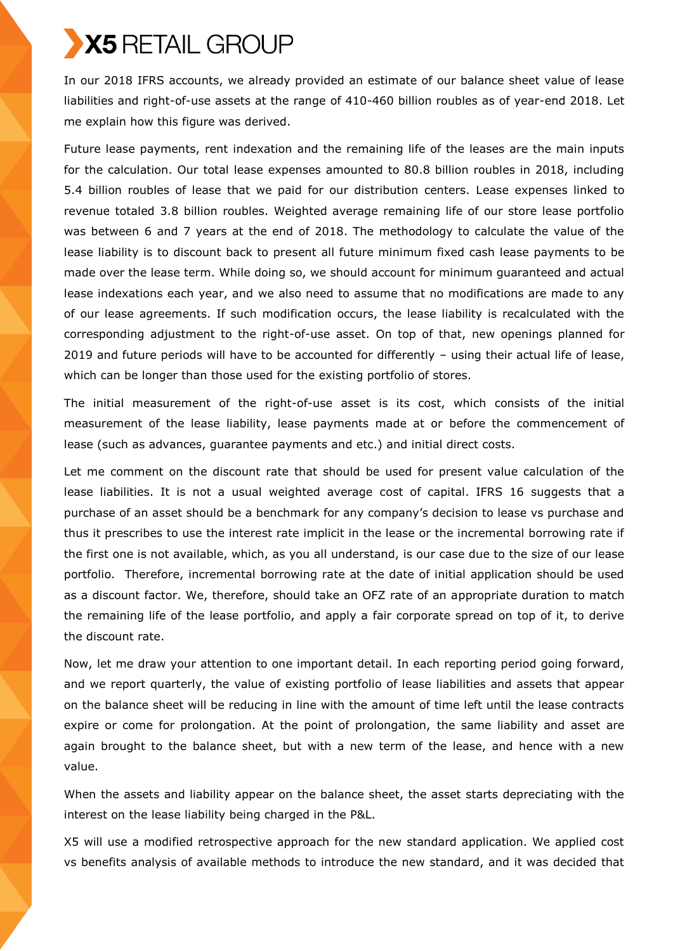In our 2018 IFRS accounts, we already provided an estimate of our balance sheet value of lease liabilities and right-of-use assets at the range of 410-460 billion roubles as of year-end 2018. Let me explain how this figure was derived.

Future lease payments, rent indexation and the remaining life of the leases are the main inputs for the calculation. Our total lease expenses amounted to 80.8 billion roubles in 2018, including 5.4 billion roubles of lease that we paid for our distribution centers. Lease expenses linked to revenue totaled 3.8 billion roubles. Weighted average remaining life of our store lease portfolio was between 6 and 7 years at the end of 2018. The methodology to calculate the value of the lease liability is to discount back to present all future minimum fixed cash lease payments to be made over the lease term. While doing so, we should account for minimum guaranteed and actual lease indexations each year, and we also need to assume that no modifications are made to any of our lease agreements. If such modification occurs, the lease liability is recalculated with the corresponding adjustment to the right-of-use asset. On top of that, new openings planned for 2019 and future periods will have to be accounted for differently – using their actual life of lease, which can be longer than those used for the existing portfolio of stores.

The initial measurement of the right-of-use asset is its cost, which consists of the initial measurement of the lease liability, lease payments made at or before the commencement of lease (such as advances, guarantee payments and etc.) and initial direct costs.

Let me comment on the discount rate that should be used for present value calculation of the lease liabilities. It is not a usual weighted average cost of capital. IFRS 16 suggests that a purchase of an asset should be a benchmark for any company's decision to lease vs purchase and thus it prescribes to use the interest rate implicit in the lease or the incremental borrowing rate if the first one is not available, which, as you all understand, is our case due to the size of our lease portfolio. Therefore, incremental borrowing rate at the date of initial application should be used as a discount factor. We, therefore, should take an OFZ rate of an appropriate duration to match the remaining life of the lease portfolio, and apply a fair corporate spread on top of it, to derive the discount rate.

Now, let me draw your attention to one important detail. In each reporting period going forward, and we report quarterly, the value of existing portfolio of lease liabilities and assets that appear on the balance sheet will be reducing in line with the amount of time left until the lease contracts expire or come for prolongation. At the point of prolongation, the same liability and asset are again brought to the balance sheet, but with a new term of the lease, and hence with a new value.

When the assets and liability appear on the balance sheet, the asset starts depreciating with the interest on the lease liability being charged in the P&L.

X5 will use a modified retrospective approach for the new standard application. We applied cost vs benefits analysis of available methods to introduce the new standard, and it was decided that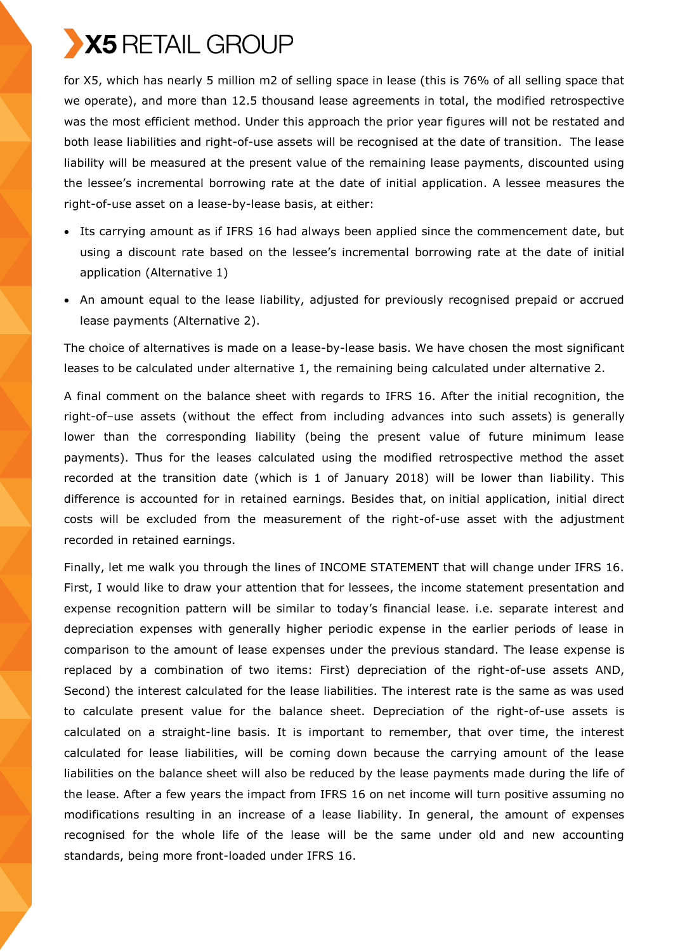for X5, which has nearly 5 million m2 of selling space in lease (this is 76% of all selling space that we operate), and more than 12.5 thousand lease agreements in total, the modified retrospective was the most efficient method. Under this approach the prior year figures will not be restated and both lease liabilities and right-of-use assets will be recognised at the date of transition. The lease liability will be measured at the present value of the remaining lease payments, discounted using the lessee's incremental borrowing rate at the date of initial application. A lessee measures the right-of-use asset on a lease-by-lease basis, at either:

- Its carrying amount as if IFRS 16 had always been applied since the commencement date, but using a discount rate based on the lessee's incremental borrowing rate at the date of initial application (Alternative 1)
- An amount equal to the lease liability, adjusted for previously recognised prepaid or accrued lease payments (Alternative 2).

The choice of alternatives is made on a lease-by-lease basis. We have chosen the most significant leases to be calculated under alternative 1, the remaining being calculated under alternative 2.

A final comment on the balance sheet with regards to IFRS 16. After the initial recognition, the right-of–use assets (without the effect from including advances into such assets) is generally lower than the corresponding liability (being the present value of future minimum lease payments). Thus for the leases calculated using the modified retrospective method the asset recorded at the transition date (which is 1 of January 2018) will be lower than liability. This difference is accounted for in retained earnings. Besides that, on initial application, initial direct costs will be excluded from the measurement of the right-of-use asset with the adjustment recorded in retained earnings.

Finally, let me walk you through the lines of INCOME STATEMENT that will change under IFRS 16. First, I would like to draw your attention that for lessees, the income statement presentation and expense recognition pattern will be similar to today's financial lease. i.e. separate interest and depreciation expenses with generally higher periodic expense in the earlier periods of lease in comparison to the amount of lease expenses under the previous standard. The lease expense is replaced by a combination of two items: First) depreciation of the right-of-use assets AND, Second) the interest calculated for the lease liabilities. The interest rate is the same as was used to calculate present value for the balance sheet. Depreciation of the right-of-use assets is calculated on a straight-line basis. It is important to remember, that over time, the interest calculated for lease liabilities, will be coming down because the carrying amount of the lease liabilities on the balance sheet will also be reduced by the lease payments made during the life of the lease. After a few years the impact from IFRS 16 on net income will turn positive assuming no modifications resulting in an increase of a lease liability. In general, the amount of expenses recognised for the whole life of the lease will be the same under old and new accounting standards, being more front-loaded under IFRS 16.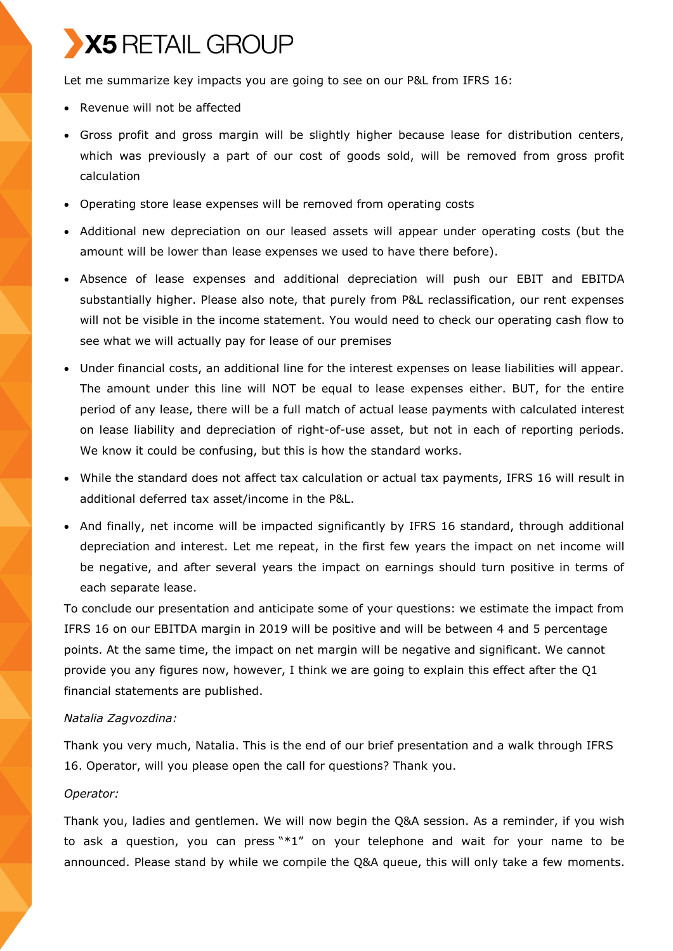Let me summarize key impacts you are going to see on our P&L from IFRS 16:

- Revenue will not be affected
- Gross profit and gross margin will be slightly higher because lease for distribution centers, which was previously a part of our cost of goods sold, will be removed from gross profit calculation
- Operating store lease expenses will be removed from operating costs
- Additional new depreciation on our leased assets will appear under operating costs (but the amount will be lower than lease expenses we used to have there before).
- Absence of lease expenses and additional depreciation will push our EBIT and EBITDA substantially higher. Please also note, that purely from P&L reclassification, our rent expenses will not be visible in the income statement. You would need to check our operating cash flow to see what we will actually pay for lease of our premises
- Under financial costs, an additional line for the interest expenses on lease liabilities will appear. The amount under this line will NOT be equal to lease expenses either. BUT, for the entire period of any lease, there will be a full match of actual lease payments with calculated interest on lease liability and depreciation of right-of-use asset, but not in each of reporting periods. We know it could be confusing, but this is how the standard works.
- While the standard does not affect tax calculation or actual tax payments, IFRS 16 will result in additional deferred tax asset/income in the P&L.
- And finally, net income will be impacted significantly by IFRS 16 standard, through additional depreciation and interest. Let me repeat, in the first few years the impact on net income will be negative, and after several years the impact on earnings should turn positive in terms of each separate lease.

To conclude our presentation and anticipate some of your questions: we estimate the impact from IFRS 16 on our EBITDA margin in 2019 will be positive and will be between 4 and 5 percentage points. At the same time, the impact on net margin will be negative and significant. We cannot provide you any figures now, however, I think we are going to explain this effect after the Q1 financial statements are published.

# *Natalia Zagvozdina:*

Thank you very much, Natalia. This is the end of our brief presentation and a walk through IFRS 16. Operator, will you please open the call for questions? Thank you.

### *Operator:*

Thank you, ladies and gentlemen. We will now begin the Q&A session. As a reminder, if you wish to ask a question, you can press "\*1" on your telephone and wait for your name to be announced. Please stand by while we compile the Q&A queue, this will only take a few moments.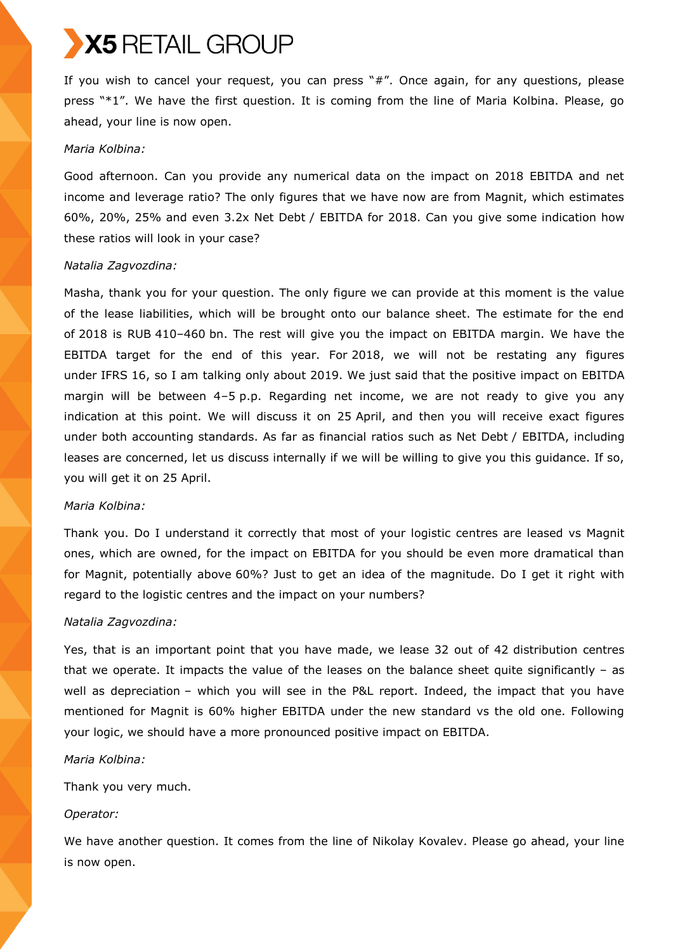If you wish to cancel your request, you can press "#". Once again, for any questions, please press "\*1". We have the first question. It is coming from the line of Maria Kolbina. Please, go ahead, your line is now open.

### *Maria Kolbina:*

Good afternoon. Can you provide any numerical data on the impact on 2018 EBITDA and net income and leverage ratio? The only figures that we have now are from Magnit, which estimates 60%, 20%, 25% and even 3.2x Net Debt / EBITDA for 2018. Can you give some indication how these ratios will look in your case?

# *Natalia Zagvozdina:*

Masha, thank you for your question. The only figure we can provide at this moment is the value of the lease liabilities, which will be brought onto our balance sheet. The estimate for the end of 2018 is RUB 410–460 bn. The rest will give you the impact on EBITDA margin. We have the EBITDA target for the end of this year. For 2018, we will not be restating any figures under IFRS 16, so I am talking only about 2019. We just said that the positive impact on EBITDA margin will be between 4–5 p.p. Regarding net income, we are not ready to give you any indication at this point. We will discuss it on 25 April, and then you will receive exact figures under both accounting standards. As far as financial ratios such as Net Debt / EBITDA, including leases are concerned, let us discuss internally if we will be willing to give you this guidance. If so, you will get it on 25 April.

#### *Maria Kolbina:*

Thank you. Do I understand it correctly that most of your logistic centres are leased vs Magnit ones, which are owned, for the impact on EBITDA for you should be even more dramatical than for Magnit, potentially above 60%? Just to get an idea of the magnitude. Do I get it right with regard to the logistic centres and the impact on your numbers?

#### *Natalia Zagvozdina:*

Yes, that is an important point that you have made, we lease 32 out of 42 distribution centres that we operate. It impacts the value of the leases on the balance sheet quite significantly  $-$  as well as depreciation – which you will see in the P&L report. Indeed, the impact that you have mentioned for Magnit is 60% higher EBITDA under the new standard vs the old one. Following your logic, we should have a more pronounced positive impact on EBITDA.

# *Maria Kolbina:*

Thank you very much.

# *Operator:*

We have another question. It comes from the line of Nikolay Kovalev. Please go ahead, your line is now open.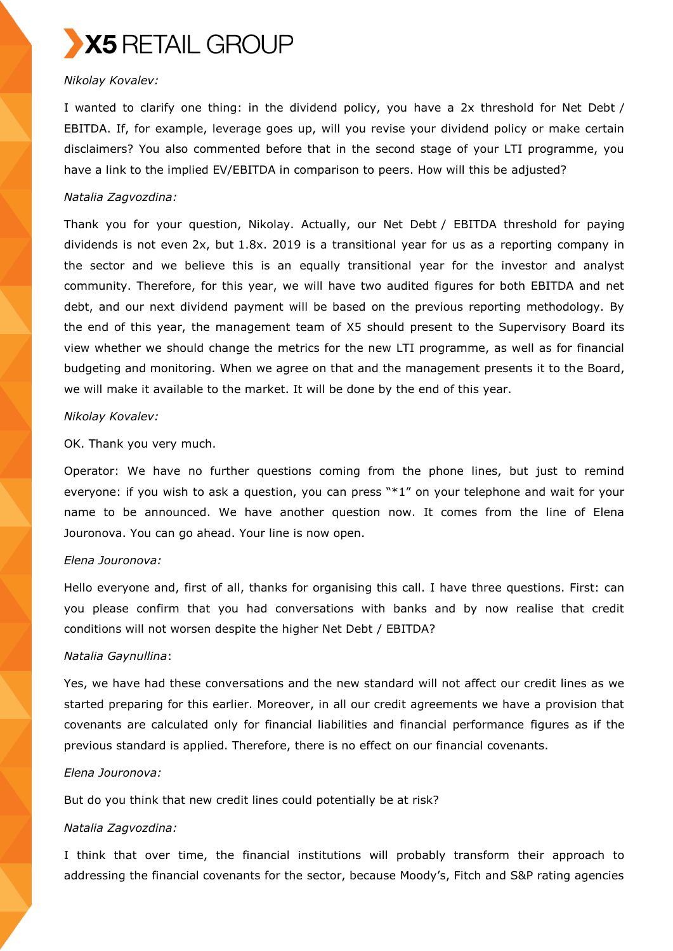

# *Nikolay Kovalev:*

I wanted to clarify one thing: in the dividend policy, you have a 2x threshold for Net Debt / EBITDA. If, for example, leverage goes up, will you revise your dividend policy or make certain disclaimers? You also commented before that in the second stage of your LTI programme, you have a link to the implied EV/EBITDA in comparison to peers. How will this be adjusted?

#### *Natalia Zagvozdina:*

Thank you for your question, Nikolay. Actually, our Net Debt / EBITDA threshold for paying dividends is not even 2x, but 1.8x. 2019 is a transitional year for us as a reporting company in the sector and we believe this is an equally transitional year for the investor and analyst community. Therefore, for this year, we will have two audited figures for both EBITDA and net debt, and our next dividend payment will be based on the previous reporting methodology. By the end of this year, the management team of X5 should present to the Supervisory Board its view whether we should change the metrics for the new LTI programme, as well as for financial budgeting and monitoring. When we agree on that and the management presents it to the Board, we will make it available to the market. It will be done by the end of this year.

### *Nikolay Kovalev:*

OK. Thank you very much.

Operator: We have no further questions coming from the phone lines, but just to remind everyone: if you wish to ask a question, you can press "\*1" on your telephone and wait for your name to be announced. We have another question now. It comes from the line of Elena Jouronova. You can go ahead. Your line is now open.

#### *Elena Jouronova:*

Hello everyone and, first of all, thanks for organising this call. I have three questions. First: can you please confirm that you had conversations with banks and by now realise that credit conditions will not worsen despite the higher Net Debt / EBITDA?

#### *Natalia Gaynullina*:

Yes, we have had these conversations and the new standard will not affect our credit lines as we started preparing for this earlier. Moreover, in all our credit agreements we have a provision that covenants are calculated only for financial liabilities and financial performance figures as if the previous standard is applied. Therefore, there is no effect on our financial covenants.

# *Elena Jouronova:*

But do you think that new credit lines could potentially be at risk?

#### *Natalia Zagvozdina:*

I think that over time, the financial institutions will probably transform their approach to addressing the financial covenants for the sector, because Moody's, Fitch and S&P rating agencies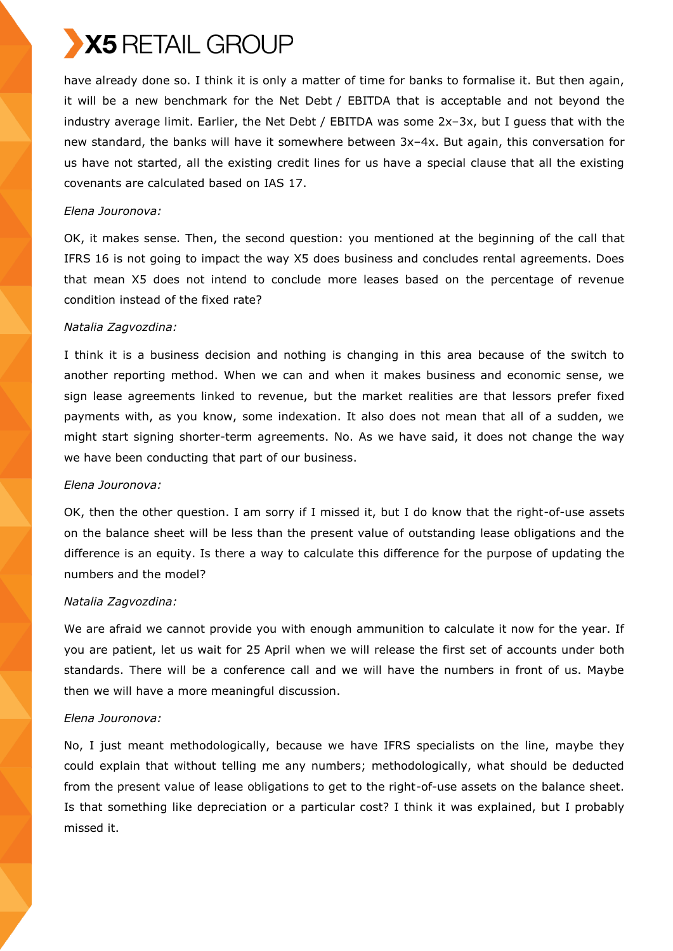have already done so. I think it is only a matter of time for banks to formalise it. But then again, it will be a new benchmark for the Net Debt / EBITDA that is acceptable and not beyond the industry average limit. Earlier, the Net Debt / EBITDA was some 2x–3x, but I guess that with the new standard, the banks will have it somewhere between 3x–4x. But again, this conversation for us have not started, all the existing credit lines for us have a special clause that all the existing covenants are calculated based on IAS 17.

# *Elena Jouronova:*

OK, it makes sense. Then, the second question: you mentioned at the beginning of the call that IFRS 16 is not going to impact the way X5 does business and concludes rental agreements. Does that mean X5 does not intend to conclude more leases based on the percentage of revenue condition instead of the fixed rate?

# *Natalia Zagvozdina:*

I think it is a business decision and nothing is changing in this area because of the switch to another reporting method. When we can and when it makes business and economic sense, we sign lease agreements linked to revenue, but the market realities are that lessors prefer fixed payments with, as you know, some indexation. It also does not mean that all of a sudden, we might start signing shorter-term agreements. No. As we have said, it does not change the way we have been conducting that part of our business.

# *Elena Jouronova:*

OK, then the other question. I am sorry if I missed it, but I do know that the right-of-use assets on the balance sheet will be less than the present value of outstanding lease obligations and the difference is an equity. Is there a way to calculate this difference for the purpose of updating the numbers and the model?

# *Natalia Zagvozdina:*

We are afraid we cannot provide you with enough ammunition to calculate it now for the year. If you are patient, let us wait for 25 April when we will release the first set of accounts under both standards. There will be a conference call and we will have the numbers in front of us. Maybe then we will have a more meaningful discussion.

# *Elena Jouronova:*

No, I just meant methodologically, because we have IFRS specialists on the line, maybe they could explain that without telling me any numbers; methodologically, what should be deducted from the present value of lease obligations to get to the right-of-use assets on the balance sheet. Is that something like depreciation or a particular cost? I think it was explained, but I probably missed it.